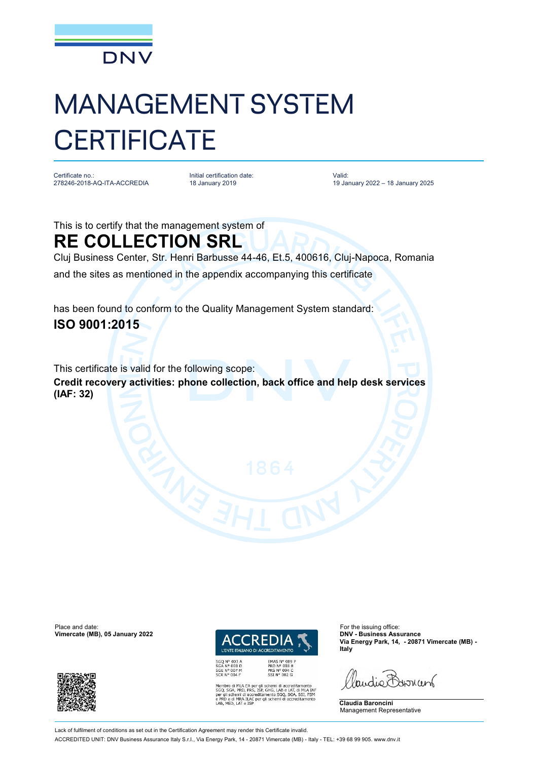

## MANAGEMENT SYSTEM **CERTIFICATE**

Certificate no.: 278246-2018-AQ-ITA-ACCREDIA Initial certification date: 18 January 2019

Valid: 19 January 2022 – 18 January 2025

This is to certify that the management system of **RE COLLECTION SRL**

Cluj Business Center, Str. Henri Barbusse 44-46, Et.5, 400616, Cluj-Napoca, Romania and the sites as mentioned in the appendix accompanying this certificate

has been found to conform to the Quality Management System standard: **ISO 9001:2015**

This certificate is valid for the following scope: **Credit recovery activities: phone collection, back office and help desk services (IAF: 32)**

Place and date: For the issuing office:<br> **Place and date:** For the issuing office:<br> **Place and date:** For the issuing office:<br> **Place and date:** For the issuing office: **Vimercate (MB), 05 January 2022** 





EMAS Nº 009 P<br>PRD Nº 003 B<br>PRS Nº 094 C<br>SSI Nº 002 G LA EA per gli schemi di accreditamento<br>RD, PRS, ISP, GHG, LAB e LAT, di MLA IAF<br>il di accreditamento SGQ, SGA, SSI, FSM<br>RA ILAC per gli schemi di accreditamento

**Via Energy Park, 14, - 20871 Vimercate (MB) - Italy**

audie Barnant

**Claudia Baroncini** Management Representative

Lack of fulfilment of conditions as set out in the Certification Agreement may render this Certificate invalid. ACCREDITED UNIT: DNV Business Assurance Italy S.r.l., Via Energy Park, 14 - 20871 Vimercate (MB) - Italy - TEL: +39 68 99 905. [www.dnv.it](http://www.dnv.it)